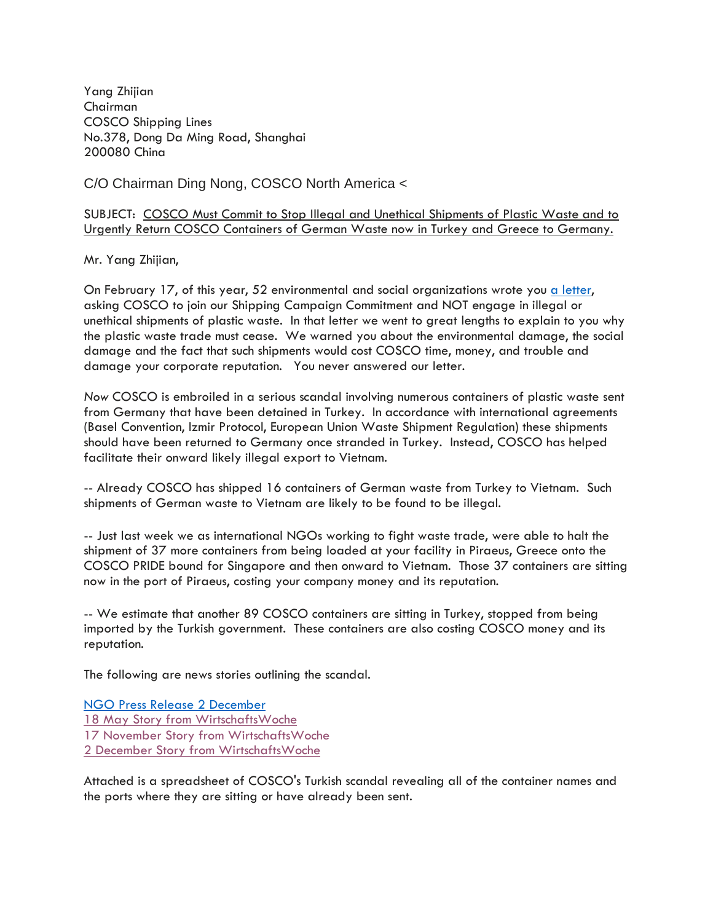Yang Zhijian Chairman COSCO Shipping Lines No.378, Dong Da Ming Road, Shanghai 200080 China

C/O Chairman Ding Nong, COSCO North America <

SUBJECT: COSCO Must Commit to Stop Illegal and Unethical Shipments of Plastic Waste and to Urgently Return COSCO Containers of German Waste now in Turkey and Greece to Germany.

Mr. Yang Zhijian,

On February 17, of this year, 52 environmental and social organizations wrote you a [letter,](http://wiki.ban.org/images/1/18/COSCO_Shipping_Letter_%28Feb_17_2021%29.pdf) asking COSCO to join our Shipping Campaign Commitment and NOT engage in illegal or unethical shipments of plastic waste. In that letter we went to great lengths to explain to you why the plastic waste trade must cease. We warned you about the environmental damage, the social damage and the fact that such shipments would cost COSCO time, money, and trouble and damage your corporate reputation. You never answered our letter.

*Now* COSCO is embroiled in a serious scandal involving numerous containers of plastic waste sent from Germany that have been detained in Turkey. In accordance with international agreements (Basel Convention, Izmir Protocol, European Union Waste Shipment Regulation) these shipments should have been returned to Germany once stranded in Turkey. Instead, COSCO has helped facilitate their onward likely illegal export to Vietnam.

-- Already COSCO has shipped 16 containers of German waste from Turkey to Vietnam. Such shipments of German waste to Vietnam are likely to be found to be illegal.

-- Just last week we as international NGOs working to fight waste trade, were able to halt the shipment of 37 more containers from being loaded at your facility in Piraeus, Greece onto the COSCO PRIDE bound for Singapore and then onward to Vietnam. Those 37 containers are sitting now in the port of Piraeus, costing your company money and its reputation.

-- We estimate that another 89 COSCO containers are sitting in Turkey, stopped from being imported by the Turkish government. These containers are also costing COSCO money and its reputation.

The following are news stories outlining the scandal.

NGO Press Release 2 [December](https://www.ban.org/news/2021/12/1/environmental-groups-move-quickly-and-block-the-export-of-german-plastic-waste-to-vietnam) May Story from [WirtschaftsWoche](https://www.wiwo.de/unternehmen/dienstleister/plastikmuellexporte-warum-die-tuerkei-deutsche-abfaelle-zurueckschicken-will/27200268.html) November Story from WirtschaftsWoche December Story from [WirtschaftsWoche](https://www.wiwo.de/unternehmen/dienstleister/export-von-plastikabfaellen-griechischer-zoll-stoppt-deutschen-plastikmuell-auf-dem-weg-nach-vietnam/27854378.html)

Attached is a spreadsheet of COSCO's Turkish scandal revealing all of the container names and the ports where they are sitting or have already been sent.